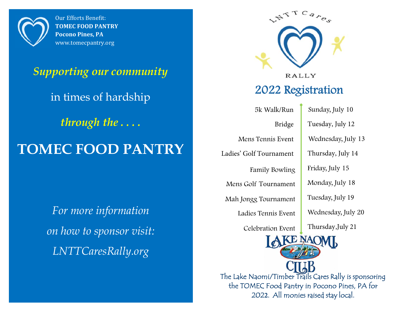

Our Efforts Benefit: **TOMEC FOOD PANTRY Pocono Pines, PA** www.tomecpantry.org

# *Supporting our community*  in times of hardship *through the . . . .*  **TOMEC FOOD PANTRY**

*For more information on how to sponsor visit: LNTTCaresRally.org*



The Lake Naomi/Timber Trails Cares Rally is sponsoring the TOMEC Food Pantry in Pocono Pines, PA for <sup>202</sup>2. All monies raised stay local.